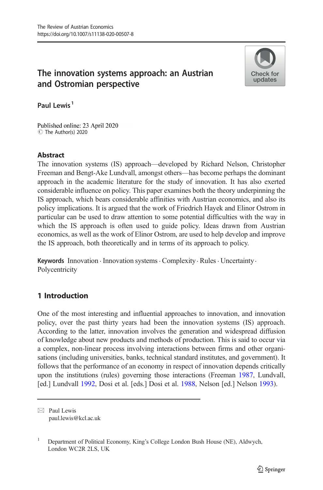### The innovation systems approach: an Austrian and Ostromian perspective



Paul Lewis<sup>1</sup>

Published online: 23 April 2020 C The Author(s) 2020

#### **Abstract**

The innovation systems (IS) approach—developed by Richard Nelson, Christopher Freeman and Bengt-Ake Lundvall, amongst others—has become perhaps the dominant approach in the academic literature for the study of innovation. It has also exerted considerable influence on policy. This paper examines both the theory underpinning the IS approach, which bears considerable affinities with Austrian economics, and also its policy implications. It is argued that the work of Friedrich Hayek and Elinor Ostrom in particular can be used to draw attention to some potential difficulties with the way in which the IS approach is often used to guide policy. Ideas drawn from Austrian economics, as well as the work of Elinor Ostrom, are used to help develop and improve the IS approach, both theoretically and in terms of its approach to policy.

Keywords Innovation · Innovation systems · Complexity · Rules · Uncertainty · Polycentricity

### 1 Introduction

One of the most interesting and influential approaches to innovation, and innovation policy, over the past thirty years had been the innovation systems (IS) approach. According to the latter, innovation involves the generation and widespread diffusion of knowledge about new products and methods of production. This is said to occur via a complex, non-linear process involving interactions between firms and other organisations (including universities, banks, technical standard institutes, and government). It follows that the performance of an economy in respect of innovation depends critically upon the institutions (rules) governing those interactions (Freeman [1987](#page-15-0), Lundvall, [ed.] Lundvall [1992](#page-16-0), Dosi et al. [eds.] Dosi et al. [1988,](#page-15-0) Nelson [ed.] Nelson [1993](#page-16-0)).

 $\boxtimes$  Paul Lewis [paul.lewis@kcl.ac.uk](mailto:paul.lewis@kcl.ac.uk)

<sup>&</sup>lt;sup>1</sup> Department of Political Economy, King's College London Bush House (NE), Aldwych, London WC2R 2LS, UK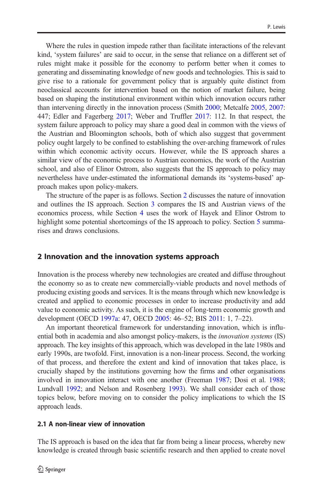Where the rules in question impede rather than facilitate interactions of the relevant kind, 'system failures' are said to occur, in the sense that reliance on a different set of rules might make it possible for the economy to perform better when it comes to generating and disseminating knowledge of new goods and technologies. This is said to give rise to a rationale for government policy that is arguably quite distinct from neoclassical accounts for intervention based on the notion of market failure, being based on shaping the institutional environment within which innovation occurs rather than intervening directly in the innovation process (Smith [2000;](#page-17-0) Metcalfe [2005,](#page-16-0) [2007:](#page-16-0) 447; Edler and Fagerberg [2017;](#page-15-0) Weber and Truffler [2017](#page-17-0): 112. In that respect, the system failure approach to policy may share a good deal in common with the views of the Austrian and Bloomington schools, both of which also suggest that government policy ought largely to be confined to establishing the over-arching framework of rules within which economic activity occurs. However, while the IS approach shares a similar view of the economic process to Austrian economics, the work of the Austrian school, and also of Elinor Ostrom, also suggests that the IS approach to policy may nevertheless have under-estimated the informational demands its 'systems-based' approach makes upon policy-makers.

The structure of the paper is as follows. Section 2 discusses the nature of innovation and outlines the IS approach. Section [3](#page-5-0) compares the IS and Austrian views of the economics process, while Section [4](#page-9-0) uses the work of Hayek and Elinor Ostrom to highlight some potential shortcomings of the IS approach to policy. Section [5](#page-12-0) summarises and draws conclusions.

#### 2 Innovation and the innovation systems approach

Innovation is the process whereby new technologies are created and diffuse throughout the economy so as to create new commercially-viable products and novel methods of producing existing goods and services. It is the means through which new knowledge is created and applied to economic processes in order to increase productivity and add value to economic activity. As such, it is the engine of long-term economic growth and development (OECD [1997a:](#page-16-0) 47, OECD [2005:](#page-16-0) 46–52; BIS [2011:](#page-14-0) 1, 7–22).

An important theoretical framework for understanding innovation, which is influential both in academia and also amongst policy-makers, is the *innovation systems* (IS) approach. The key insights of this approach, which was developed in the late 1980s and early 1990s, are twofold. First, innovation is a non-linear process. Second, the working of that process, and therefore the extent and kind of innovation that takes place, is crucially shaped by the institutions governing how the firms and other organisations involved in innovation interact with one another (Freeman [1987](#page-15-0); Dosi et al. [1988;](#page-15-0) Lundvall [1992;](#page-16-0) and Nelson and Rosenberg [1993\)](#page-16-0). We shall consider each of those topics below, before moving on to consider the policy implications to which the IS approach leads.

The IS approach is based on the idea that far from being a linear process, whereby new knowledge is created through basic scientific research and then applied to create novel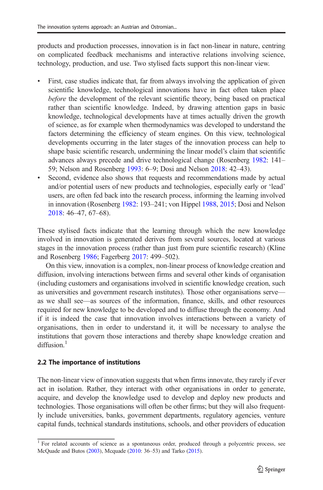products and production processes, innovation is in fact non-linear in nature, centring on complicated feedback mechanisms and interactive relations involving science, technology, production, and use. Two stylised facts support this non-linear view.

- & First, case studies indicate that, far from always involving the application of given scientific knowledge, technological innovations have in fact often taken place before the development of the relevant scientific theory, being based on practical rather than scientific knowledge. Indeed, by drawing attention gaps in basic knowledge, technological developments have at times actually driven the growth of science, as for example when thermodynamics was developed to understand the factors determining the efficiency of steam engines. On this view, technological developments occurring in the later stages of the innovation process can help to shape basic scientific research, undermining the linear model's claim that scientific advances always precede and drive technological change (Rosenberg [1982:](#page-17-0) 141– 59; Nelson and Rosenberg [1993](#page-16-0): 6–9; Dosi and Nelson [2018:](#page-14-0) 42–43).
- Second, evidence also shows that requests and recommendations made by actual and/or potential users of new products and technologies, especially early or 'lead' users, are often fed back into the research process, informing the learning involved in innovation (Rosenberg [1982](#page-17-0): 193–241; von Hippel [1988,](#page-17-0) [2015;](#page-17-0) Dosi and Nelson [2018](#page-14-0): 46–47, 67–68).

These stylised facts indicate that the learning through which the new knowledge involved in innovation is generated derives from several sources, located at various stages in the innovation process (rather than just from pure scientific research) (Kline and Rosenberg [1986](#page-15-0); Fagerberg [2017](#page-15-0): 499–502).

On this view, innovation is a complex, non-linear process of knowledge creation and diffusion, involving interactions between firms and several other kinds of organisation (including customers and organisations involved in scientific knowledge creation, such as universities and government research institutes). Those other organisations serve as we shall see—as sources of the information, finance, skills, and other resources required for new knowledge to be developed and to diffuse through the economy. And if it is indeed the case that innovation involves interactions between a variety of organisations, then in order to understand it, it will be necessary to analyse the institutions that govern those interactions and thereby shape knowledge creation and  $diffusion<sup>1</sup>$ 

# 2.2 The importance of institutions

The non-linear view of innovation suggests that when firms innovate, they rarely if ever act in isolation. Rather, they interact with other organisations in order to generate, acquire, and develop the knowledge used to develop and deploy new products and technologies. Those organisations will often be other firms; but they will also frequently include universities, banks, government departments, regulatory agencies, venture capital funds, technical standards institutions, schools, and other providers of education

<sup>&</sup>lt;sup>1</sup> For related accounts of science as a spontaneous order, produced through a polycentric process, see McQuade and Butos [\(2003\)](#page-16-0), Mcquade [\(2010](#page-16-0): 36–53) and Tarko [\(2015\)](#page-17-0).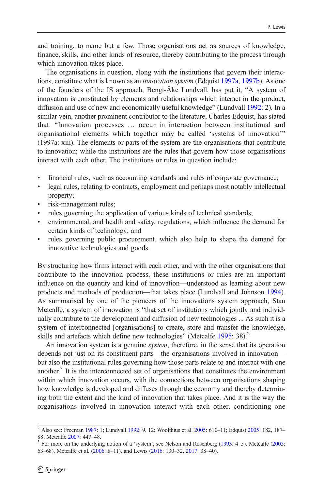and training, to name but a few. Those organisations act as sources of knowledge, finance, skills, and other kinds of resource, thereby contributing to the process through which innovation takes place.

The organisations in question, along with the institutions that govern their interactions, constitute what is known as an innovation system (Edquist [1997a](#page-15-0), [1997b](#page-15-0)). As one of the founders of the IS approach, Bengt-Åke Lundvall, has put it, "A system of innovation is constituted by elements and relationships which interact in the product, diffusion and use of new and economically useful knowledge" (Lundvall [1992:](#page-16-0) 2). In a similar vein, another prominent contributor to the literature, Charles Edquist, has stated that, "Innovation processes … occur in interaction between institutional and organisational elements which together may be called 'systems of innovation'" (1997a: xiii). The elements or parts of the system are the organisations that contribute to innovation; while the institutions are the rules that govern how those organisations interact with each other. The institutions or rules in question include:

- & financial rules, such as accounting standards and rules of corporate governance;
- & legal rules, relating to contracts, employment and perhaps most notably intellectual property;
- risk-management rules;
- rules governing the application of various kinds of technical standards;
- & environmental, and health and safety, regulations, which influence the demand for certain kinds of technology; and
- & rules governing public procurement, which also help to shape the demand for innovative technologies and goods.

By structuring how firms interact with each other, and with the other organisations that contribute to the innovation process, these institutions or rules are an important influence on the quantity and kind of innovation—understood as learning about new products and methods of production—that takes place (Lundvall and Johnson [1994\)](#page-16-0). As summarised by one of the pioneers of the innovations system approach, Stan Metcalfe, a system of innovation is "that set of institutions which jointly and individually contribute to the development and diffusion of new technologies ... As such it is a system of interconnected [organisations] to create, store and transfer the knowledge, skills and artefacts which define new technologies" (Metcalfe [1995](#page-16-0): 38).<sup>2</sup>

An innovation system is a genuine system, therefore, in the sense that its operation depends not just on its constituent parts—the organisations involved in innovation but also the institutional rules governing how those parts relate to and interact with one another. $3$  It is the interconnected set of organisations that constitutes the environment within which innovation occurs, with the connections between organisations shaping how knowledge is developed and diffuses through the economy and thereby determining both the extent and the kind of innovation that takes place. And it is the way the organisations involved in innovation interact with each other, conditioning one

<sup>&</sup>lt;sup>2</sup> Also see: Freeman [1987:](#page-15-0) 1; Lundvall [1992](#page-16-0): 9, 12; Woolthius et al. [2005](#page-17-0): 610–11; Edquist [2005:](#page-15-0) 182, 187–88: Metcalfe 2007: 447–48.

 $3$  For more on the underlying notion of a 'system', see Nelson and Rosenberg [\(1993:](#page-16-0) 4–5), Metcalfe ([2005](#page-16-0): 63–68), Metcalfe et al. ([2006](#page-16-0): 8–11), and Lewis ([2016](#page-16-0): 130–32, [2017](#page-16-0): 38–40).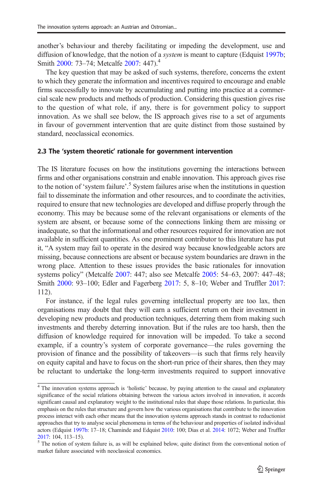another's behaviour and thereby facilitating or impeding the development, use and diffusion of knowledge, that the notion of a *system* is meant to capture (Edquist [1997b;](#page-15-0) Smith [2000:](#page-17-0) 73–74: Metcalfe [2007](#page-16-0): 447).<sup>4</sup>

The key question that may be asked of such systems, therefore, concerns the extent to which they generate the information and incentives required to encourage and enable firms successfully to innovate by accumulating and putting into practice at a commercial scale new products and methods of production. Considering this question gives rise to the question of what role, if any, there is for government policy to support innovation. As we shall see below, the IS approach gives rise to a set of arguments in favour of government intervention that are quite distinct from those sustained by standard, neoclassical economics.

#### 2.3 The 'system theoretic' rationale for government intervention

The IS literature focuses on how the institutions governing the interactions between firms and other organisations constrain and enable innovation. This approach gives rise to the notion of 'system failure'.<sup>5</sup> System failures arise when the institutions in question fail to disseminate the information and other resources, and to coordinate the activities, required to ensure that new technologies are developed and diffuse properly through the economy. This may be because some of the relevant organisations or elements of the system are absent, or because some of the connections linking them are missing or inadequate, so that the informational and other resources required for innovation are not available in sufficient quantities. As one prominent contributor to this literature has put it, "A system may fail to operate in the desired way because knowledgeable actors are missing, because connections are absent or because system boundaries are drawn in the wrong place. Attention to these issues provides the basic rationales for innovation systems policy" (Metcalfe [2007:](#page-16-0) 447; also see Metcalfe [2005:](#page-16-0) 54–63, 2007: 447–48; Smith [2000](#page-17-0): 93–100; Edler and Fagerberg [2017](#page-15-0): 5, 8–10; Weber and Truffler [2017:](#page-17-0) 112).

For instance, if the legal rules governing intellectual property are too lax, then organisations may doubt that they will earn a sufficient return on their investment in developing new products and production techniques, deterring them from making such investments and thereby deterring innovation. But if the rules are too harsh, then the diffusion of knowledge required for innovation will be impeded. To take a second example, if a country's system of corporate governance—the rules governing the provision of finance and the possibility of takeovers—is such that firms rely heavily on equity capital and have to focus on the short-run price of their shares, then they may be reluctant to undertake the long-term investments required to support innovative

<sup>&</sup>lt;sup>4</sup> The innovation systems approach is 'holistic' because, by paying attention to the causal and explanatory significance of the social relations obtaining between the various actors involved in innovation, it accords significant causal and explanatory weight to the institutional rules that shape those relations. In particular, this emphasis on the rules that structure and govern how the various organisations that contribute to the innovation process interact with each other means that the innovation systems approach stands in contrast to reductionist approaches that try to analyse social phenomena in terms of the behaviour and properties of isolated individual actors (Edquist [1997b:](#page-15-0) 17–18; Chaminde and Edquist [2010:](#page-14-0) 100; Dias et al. [2014:](#page-14-0) 1072; Weber and Truffler  $2017: 104, 113–15$  $2017: 104, 113–15$ ).<br><sup>5</sup> The notion of system failure is, as will be explained below, quite distinct from the conventional notion of

market failure associated with neoclassical economics.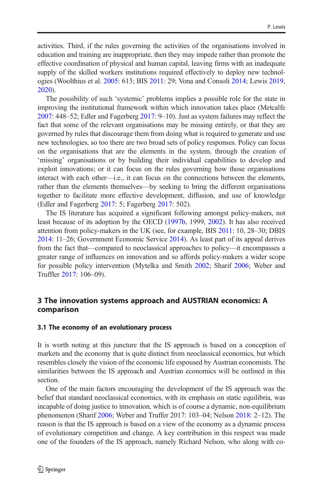<span id="page-5-0"></span>activities. Third, if the rules governing the activities of the organisations involved in education and training are inappropriate, then they may impede rather than promote the effective coordination of physical and human capital, leaving firms with an inadequate supply of the skilled workers institutions required effectively to deploy new technologies (Woolthius et al. [2005:](#page-17-0) 613; BIS [2011:](#page-14-0) 29; Vona and Consoli [2014;](#page-17-0) Lewis [2019,](#page-16-0) [2020\)](#page-16-0).

The possibility of such 'systemic' problems implies a possible role for the state in improving the institutional framework within which innovation takes place (Metcalfe [2007:](#page-16-0) 448–52; Edler and Fagerberg [2017](#page-15-0): 9–10). Just as system failures may reflect the fact that some of the relevant organisations may be missing entirely, or that they are governed by rules that discourage them from doing what is required to generate and use new technologies, so too there are two broad sets of policy responses. Policy can focus on the organisations that are the elements in the system, through the creation of 'missing' organisations or by building their individual capabilities to develop and exploit innovations; or it can focus on the rules governing how those organisations interact with each other—i.e., it can focus on the connections between the elements, rather than the elements themselves—by seeking to bring the different organisations together to facilitate more effective development, diffusion, and use of knowledge (Edler and Fagerberg [2017:](#page-15-0) 5; Fagerberg [2017](#page-15-0): 502).

The IS literature has acquired a significant following amongst policy-makers, not least because of its adoption by the OECD ([1997b](#page-16-0), 1999, [2002\)](#page-16-0). It has also received attention from policy-makers in the UK (see, for example, BIS [2011](#page-14-0): 10, 28–30; DBIS [2014:](#page-14-0) 11–26; Government Economic Service [2014](#page-15-0)). As least part of its appeal derives from the fact that—compared to neoclassical approaches to policy—it encompasses a greater range of influences on innovation and so affords policy-makers a wider scope for possible policy intervention (Mytelka and Smith [2002;](#page-16-0) Sharif [2006](#page-17-0); Weber and Truffler [2017](#page-17-0): 106–09).

#### 3 The innovation systems approach and AUSTRIAN economics: A comparison

#### 3.1 The economy of an evolutionary process

It is worth noting at this juncture that the IS approach is based on a conception of markets and the economy that is quite distinct from neoclassical economics, but which resembles closely the vision of the economic life espoused by Austrian economists. The similarities between the IS approach and Austrian economics will be outlined in this section.

One of the main factors encouraging the development of the IS approach was the belief that standard neoclassical economics, with its emphasis on static equilibria, was incapable of doing justice to innovation, which is of course a dynamic, non-equilibrium phenomenon (Sharif [2006;](#page-17-0) Weber and Truffer 2017: 103–04; Nelson [2018](#page-16-0): 2–12). The reason is that the IS approach is based on a view of the economy as a dynamic process of evolutionary competition and change. A key contribution in this respect was made one of the founders of the IS approach, namely Richard Nelson, who along with co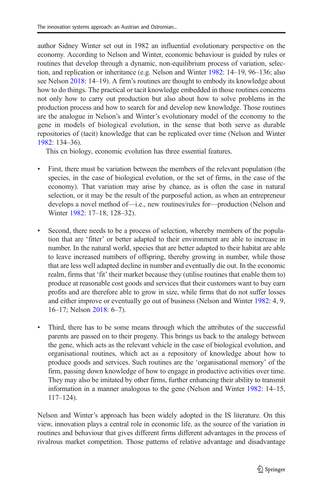author Sidney Winter set out in 1982 an influential evolutionary perspective on the economy. According to Nelson and Winter, economic behaviour is guided by rules or routines that develop through a dynamic, non-equilibrium process of variation, selection, and replication or inheritance (e.g. Nelson and Winter [1982](#page-16-0): 14–19, 96–136; also see Nelson [2018](#page-16-0): 14–19). A firm's routines are thought to embody its knowledge about how to do things. The practical or tacit knowledge embedded in those routines concerns not only how to carry out production but also about how to solve problems in the production process and how to search for and develop new knowledge. Those routines are the analogue in Nelson's and Winter's evolutionary model of the economy to the gene in models of biological evolution, in the sense that both serve as durable repositories of (tacit) knowledge that can be replicated over time (Nelson and Winter [1982:](#page-16-0) 134–36).

This cn biology, economic evolution has three essential features.

- & First, there must be variation between the members of the relevant population (the species, in the case of biological evolution, or the set of firms, in the case of the economy). That variation may arise by chance, as is often the case in natural selection, or it may be the result of the purposeful action, as when an entrepreneur develops a novel method of—i.e., new routines/rules for—production (Nelson and Winter [1982:](#page-16-0) 17–18, 128–32).
- Second, there needs to be a process of selection, whereby members of the population that are 'fitter' or better adapted to their environment are able to increase in number. In the natural world, species that are better adapted to their habitat are able to leave increased numbers of offspring, thereby growing in number, while those that are less well adapted decline in number and eventually die out. In the economic realm, firms that 'fit' their market because they (utilise routines that enable them to) produce at reasonable cost goods and services that their customers want to buy earn profits and are therefore able to grow in size, while firms that do not suffer losses and either improve or eventually go out of business (Nelson and Winter [1982:](#page-16-0) 4, 9, 16–17; Nelson [2018:](#page-16-0) 6–7).
- Third, there has to be some means through which the attributes of the successful parents are passed on to their progeny. This brings us back to the analogy between the gene, which acts as the relevant vehicle in the case of biological evolution, and organisational routines, which act as a repository of knowledge about how to produce goods and services. Such routines are the 'organisational memory' of the firm, passing down knowledge of how to engage in productive activities over time. They may also be imitated by other firms, further enhancing their ability to transmit information in a manner analogous to the gene (Nelson and Winter [1982:](#page-16-0) 14–15, 117–124).

Nelson and Winter's approach has been widely adopted in the IS literature. On this view, innovation plays a central role in economic life, as the source of the variation in routines and behaviour that gives different firms different advantages in the process of rivalrous market competition. Those patterns of relative advantage and disadvantage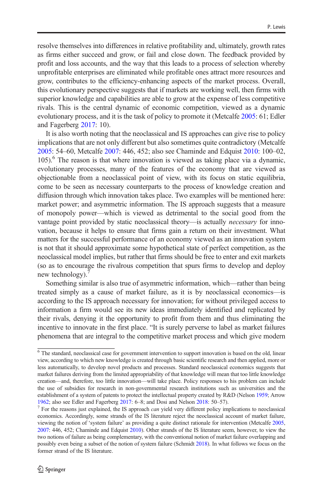resolve themselves into differences in relative profitability and, ultimately, growth rates as firms either succeed and grow, or fail and close down. The feedback provided by profit and loss accounts, and the way that this leads to a process of selection whereby unprofitable enterprises are eliminated while profitable ones attract more resources and grow, contributes to the efficiency-enhancing aspects of the market process. Overall, this evolutionary perspective suggests that if markets are working well, then firms with superior knowledge and capabilities are able to grow at the expense of less competitive rivals. This is the central dynamic of economic competition, viewed as a dynamic evolutionary process, and it is the task of policy to promote it (Metcalfe [2005:](#page-16-0) 61; Edler and Fagerberg [2017:](#page-15-0) 10).

It is also worth noting that the neoclassical and IS approaches can give rise to policy implications that are not only different but also sometimes quite contradictory (Metcalfe [2005:](#page-16-0) 54–60, Metcalfe [2007:](#page-16-0) 446, 452; also see Chaminde and Edquist [2010](#page-14-0): 100–02, 105).<sup>6</sup> The reason is that where innovation is viewed as taking place via a dynamic, evolutionary processes, many of the features of the economy that are viewed as objectionable from a neoclassical point of view, with its focus on static equilibria, come to be seen as necessary counterparts to the process of knowledge creation and diffusion through which innovation takes place. Two examples will be mentioned here: market power; and asymmetric information. The IS approach suggests that a measure of monopoly power—which is viewed as detrimental to the social good from the vantage point provided by static neoclassical theory—is actually necessary for innovation, because it helps to ensure that firms gain a return on their investment. What matters for the successful performance of an economy viewed as an innovation system is not that it should approximate some hypothetical state of perfect competition, as the neoclassical model implies, but rather that firms should be free to enter and exit markets (so as to encourage the rivalrous competition that spurs firms to develop and deploy new technology).

Something similar is also true of asymmetric information, which—rather than being treated simply as a cause of market failure, as it is by neoclassical economics—is according to the IS approach necessary for innovation; for without privileged access to information a firm would see its new ideas immediately identified and replicated by their rivals, denying it the opportunity to profit from them and thus eliminating the incentive to innovate in the first place. "It is surely perverse to label as market failures phenomena that are integral to the competitive market process and which give modern

<sup>6</sup> The standard, neoclassical case for government intervention to support innovation is based on the old, linear view, according to which new knowledge is created through basic scientific research and then applied, more or less automatically, to develop novel products and processes. Standard neoclassical economics suggests that market failures deriving from the limited appropriability of that knowledge will mean that too little knowledge creation—and, therefore, too little innovation—will take place. Policy responses to his problem can include the use of subsidies for research in non-governmental research institutions such as universities and the establishment of a system of patents to protect the intellectual property created by R&D (Nelson [1959](#page-16-0); Arrow

[<sup>1962;</sup>](#page-14-0) also see Edler and Fagerberg [2017:](#page-15-0) 6–8; and Dosi and Nelson [2018:](#page-14-0) 50–57).<br><sup>7</sup> For the reasons just explained, the IS approach *can* yield very different policy implications to neoclassical economics. Accordingly, some strands of the IS literature reject the neoclassical account of market failure, viewing the notion of 'system failure' as providing a quite distinct rationale for intervention (Metcalfe [2005](#page-16-0), [2007:](#page-16-0) 446, 452; Chaminde and Edquist [2010](#page-14-0)). Other strands of the IS literature seem, however, to view the two notions of failure as being complementary, with the conventional notion of market failure overlapping and possibly even being a subset of the notion of system failure (Schmidt [2018](#page-17-0)). In what follows we focus on the former strand of the IS literature.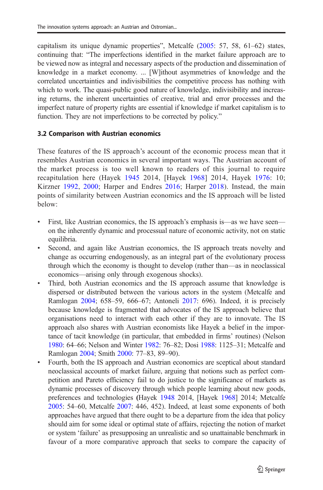capitalism its unique dynamic properties", Metcalfe [\(2005:](#page-16-0) 57, 58, 61–62) states, continuing that: "The imperfections identified in the market failure approach are to be viewed now as integral and necessary aspects of the production and dissemination of knowledge in a market economy. ... [W]ithout asymmetries of knowledge and the correlated uncertainties and indivisibilities the competitive process has nothing with which to work. The quasi-public good nature of knowledge, indivisibility and increasing returns, the inherent uncertainties of creative, trial and error processes and the imperfect nature of property rights are essential if knowledge if market capitalism is to function. They are not imperfections to be corrected by policy."

# 3.2 Comparison with Austrian economics

These features of the IS approach's account of the economic process mean that it resembles Austrian economics in several important ways. The Austrian account of the market process is too well known to readers of this journal to require recapitulation here (Hayek [1945](#page-15-0) 2014, [Hayek [1968\]](#page-15-0) 2014, Hayek [1976:](#page-15-0) 10; Kirzner [1992,](#page-15-0) [2000;](#page-15-0) Harper and Endres [2016](#page-15-0); Harper [2018](#page-15-0)). Instead, the main points of similarity between Austrian economics and the IS approach will be listed below:

- & First, like Austrian economics, the IS approach's emphasis is—as we have seen on the inherently dynamic and processual nature of economic activity, not on static equilibria.
- & Second, and again like Austrian economics, the IS approach treats novelty and change as occurring endogenously, as an integral part of the evolutionary process through which the economy is thought to develop (rather than—as in neoclassical economics—arising only through exogenous shocks).
- Third, both Austrian economics and the IS approach assume that knowledge is dispersed or distributed between the various actors in the system (Metcalfe and Ramlogan [2004;](#page-16-0) 658–59, 666–67; Antoneli [2017:](#page-14-0) 696). Indeed, it is precisely because knowledge is fragmented that advocates of the IS approach believe that organisations need to interact with each other if they are to innovate. The IS approach also shares with Austrian economists like Hayek a belief in the importance of tacit knowledge (in particular, that embedded in firms' routines) (Nelson [1980](#page-16-0): 64–66; Nelson and Winter [1982](#page-16-0): 76–82; Dosi [1988](#page-14-0): 1125–31; Metcalfe and Ramlogan [2004](#page-16-0); Smith [2000](#page-17-0): 77–83, 89–90).
- & Fourth, both the IS approach and Austrian economics are sceptical about standard neoclassical accounts of market failure, arguing that notions such as perfect competition and Pareto efficiency fail to do justice to the significance of markets as dynamic processes of discovery through which people learning about new goods, preferences and technologies (Hayek [1948](#page-15-0) 2014, [Hayek [1968](#page-15-0)] 2014; Metcalfe [2005](#page-16-0): 54–60, Metcalfe [2007:](#page-16-0) 446, 452). Indeed, at least some exponents of both approaches have argued that there ought to be a departure from the idea that policy should aim for some ideal or optimal state of affairs, rejecting the notion of market or system 'failure' as presupposing an unrealistic and so unattainable benchmark in favour of a more comparative approach that seeks to compare the capacity of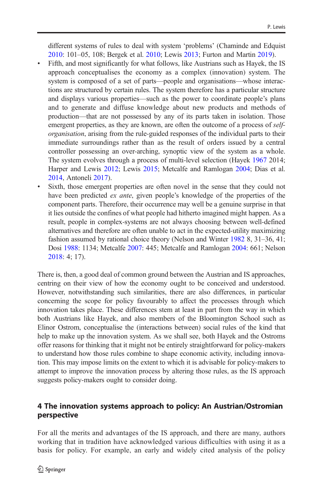<span id="page-9-0"></span>different systems of rules to deal with system 'problems' (Chaminde and Edquist [2010](#page-14-0): 101–05, 108; Bergek et al. [2010](#page-14-0); Lewis [2013](#page-15-0); Furton and Martin [2019](#page-15-0)).

- & Fifth, and most significantly for what follows, like Austrians such as Hayek, the IS approach conceptualises the economy as a complex (innovation) system. The system is composed of a set of parts—people and organisations—whose interactions are structured by certain rules. The system therefore has a particular structure and displays various properties—such as the power to coordinate people's plans and to generate and diffuse knowledge about new products and methods of production—that are not possessed by any of its parts taken in isolation. Those emergent properties, as they are known, are often the outcome of a process of *self*organisation, arising from the rule-guided responses of the individual parts to their immediate surroundings rather than as the result of orders issued by a central controller possessing an over-arching, synoptic view of the system as a whole. The system evolves through a process of multi-level selection (Hayek [1967](#page-15-0) 2014; Harper and Lewis [2012](#page-15-0); Lewis [2015;](#page-15-0) Metcalfe and Ramlogan [2004](#page-16-0); Dias et al. [2014](#page-14-0), Antoneli [2017\)](#page-14-0).
- & Sixth, those emergent properties are often novel in the sense that they could not have been predicted *ex ante*, given people's knowledge of the properties of the component parts. Therefore, their occurrence may well be a genuine surprise in that it lies outside the confines of what people had hitherto imagined might happen. As a result, people in complex-systems are not always choosing between well-defined alternatives and therefore are often unable to act in the expected-utility maximizing fashion assumed by rational choice theory (Nelson and Winter [1982](#page-16-0) 8, 31–36, 41; Dosi [1988](#page-14-0): 1134; Metcalfe [2007](#page-16-0): 445; Metcalfe and Ramlogan [2004](#page-16-0): 661; Nelson [2018](#page-16-0): 4; 17).

There is, then, a good deal of common ground between the Austrian and IS approaches, centring on their view of how the economy ought to be conceived and understood. However, notwithstanding such similarities, there are also differences, in particular concerning the scope for policy favourably to affect the processes through which innovation takes place. These differences stem at least in part from the way in which both Austrians like Hayek, and also members of the Bloomington School such as Elinor Ostrom, conceptualise the (interactions between) social rules of the kind that help to make up the innovation system. As we shall see, both Hayek and the Ostroms offer reasons for thinking that it might not be entirely straightforward for policy-makers to understand how those rules combine to shape economic activity, including innovation. This may impose limits on the extent to which it is advisable for policy-makers to attempt to improve the innovation process by altering those rules, as the IS approach suggests policy-makers ought to consider doing.

#### 4 The innovation systems approach to policy: An Austrian/Ostromian perspective

For all the merits and advantages of the IS approach, and there are many, authors working that in tradition have acknowledged various difficulties with using it as a basis for policy. For example, an early and widely cited analysis of the policy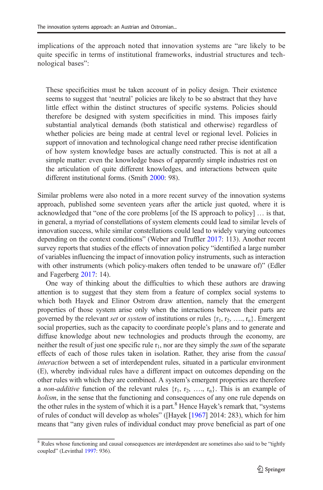implications of the approach noted that innovation systems are "are likely to be quite specific in terms of institutional frameworks, industrial structures and technological bases":

These specificities must be taken account of in policy design. Their existence seems to suggest that 'neutral' policies are likely to be so abstract that they have little effect within the distinct structures of specific systems. Policies should therefore be designed with system specificities in mind. This imposes fairly substantial analytical demands (both statistical and otherwise) regardless of whether policies are being made at central level or regional level. Policies in support of innovation and technological change need rather precise identification of how system knowledge bases are actually constructed. This is not at all a simple matter: even the knowledge bases of apparently simple industries rest on the articulation of quite different knowledges, and interactions between quite different institutional forms. (Smith [2000:](#page-17-0) 98).

Similar problems were also noted in a more recent survey of the innovation systems approach, published some seventeen years after the article just quoted, where it is acknowledged that "one of the core problems [of the IS approach to policy] … is that, in general, a myriad of constellations of system elements could lead to similar levels of innovation success, while similar constellations could lead to widely varying outcomes depending on the context conditions" (Weber and Truffler [2017:](#page-17-0) 113). Another recent survey reports that studies of the effects of innovation policy "identified a large number of variables influencing the impact of innovation policy instruments, such as interaction with other instruments (which policy-makers often tended to be unaware of)" (Edler and Fagerberg [2017:](#page-15-0) 14).

One way of thinking about the difficulties to which these authors are drawing attention is to suggest that they stem from a feature of complex social systems to which both Hayek and Elinor Ostrom draw attention, namely that the emergent properties of those system arise only when the interactions between their parts are governed by the relevant set or system of institutions or rules  $\{r_1, r_2, \ldots, r_n\}$ . Emergent social properties, such as the capacity to coordinate people's plans and to generate and diffuse knowledge about new technologies and products through the economy, are neither the result of just one specific rule  $r_1$ , nor are they simply the *sum* of the separate effects of each of those rules taken in isolation. Rather, they arise from the *causal* interaction between a set of interdependent rules, situated in a particular environment (E), whereby individual rules have a different impact on outcomes depending on the other rules with which they are combined. A system's emergent properties are therefore a non-additive function of the relevant rules  $\{r_1, r_2, \ldots, r_n\}$ . This is an example of holism, in the sense that the functioning and consequences of any one rule depends on the other rules in the system of which it is a part.<sup>8</sup> Hence Hayek's remark that, "systems of rules of conduct will develop as wholes" ([Hayek [\[1967\]](#page-15-0) 2014: 283), which for him means that "any given rules of individual conduct may prove beneficial as part of one

<sup>&</sup>lt;sup>8</sup> Rules whose functioning and causal consequences are interdependent are sometimes also said to be "tightly coupled" (Levinthal [1997:](#page-15-0) 936).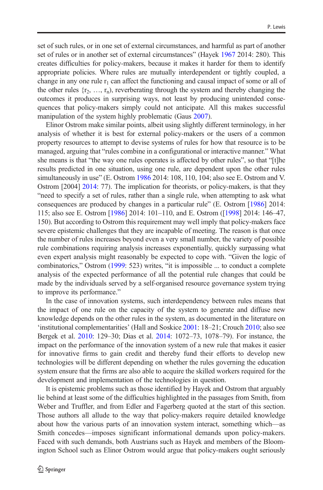set of such rules, or in one set of external circumstances, and harmful as part of another set of rules or in another set of external circumstances" (Hayek [1967](#page-15-0) 2014: 280). This creates difficulties for policy-makers, because it makes it harder for them to identify appropriate policies. Where rules are mutually interdependent or tightly coupled, a change in any one rule  $r_1$  can affect the functioning and causal impact of some or all of the other rules  $\{r_2, \ldots, r_n\}$ , reverberating through the system and thereby changing the outcomes it produces in surprising ways, not least by producing unintended consequences that policy-makers simply could not anticipate. All this makes successful manipulation of the system highly problematic (Gaus [2007](#page-15-0)).

Elinor Ostrom make similar points, albeit using slightly different terminology, in her analysis of whether it is best for external policy-makers or the users of a common property resources to attempt to devise systems of rules for how that resource is to be managed, arguing that "rules combine in a configurational or interactive manner." What she means is that "the way one rules operates is affected by other rules", so that "[t]he results predicted in one situation, using one rule, are dependent upon the other rules simultaneously in use" (E. Ostrom [1986](#page-16-0) 2014: 108, 110, 104; also see E. Ostrom and V. Ostrom [2004] [2014:](#page-17-0) 77). The implication for theorists, or policy-makers, is that they "need to specify a set of rules, rather than a single rule, when attempting to ask what consequences are produced by changes in a particular rule" (E. Ostrom [\[1986\]](#page-16-0) 2014: 115; also see E. Ostrom [\[1986\]](#page-16-0) 2014: 101–110, and E. Ostrom ([\[1998\]](#page-17-0) 2014: 146–47, 150). But according to Ostrom this requirement may well imply that policy-makers face severe epistemic challenges that they are incapable of meeting. The reason is that once the number of rules increases beyond even a very small number, the variety of possible rule combinations requiring analysis increases exponentially, quickly surpassing what even expert analysis might reasonably be expected to cope with. "Given the logic of combinatorics," Ostrom [\(1999:](#page-17-0) 523) writes, "it is impossible ... to conduct a complete analysis of the expected performance of all the potential rule changes that could be made by the individuals served by a self-organised resource governance system trying to improve its performance."

In the case of innovation systems, such interdependency between rules means that the impact of one rule on the capacity of the system to generate and diffuse new knowledge depends on the other rules in the system, as documented in the literature on 'institutional complementarities' (Hall and Soskice [2001:](#page-15-0) 18–21; Crouch [2010](#page-14-0); also see Bergek et al. [2010:](#page-14-0) 129–30; Dias et al. [2014:](#page-14-0) 1072–73, 1078–79). For instance, the impact on the performance of the innovation system of a new rule that makes it easier for innovative firms to gain credit and thereby fund their efforts to develop new technologies will be different depending on whether the rules governing the education system ensure that the firms are also able to acquire the skilled workers required for the development and implementation of the technologies in question.

It is epistemic problems such as those identified by Hayek and Ostrom that arguably lie behind at least some of the difficulties highlighted in the passages from Smith, from Weber and Truffler, and from Edler and Fagerberg quoted at the start of this section. Those authors all allude to the way that policy-makers require detailed knowledge about how the various parts of an innovation system interact, something which—as Smith concedes—imposes significant informational demands upon policy-makers. Faced with such demands, both Austrians such as Hayek and members of the Bloomington School such as Elinor Ostrom would argue that policy-makers ought seriously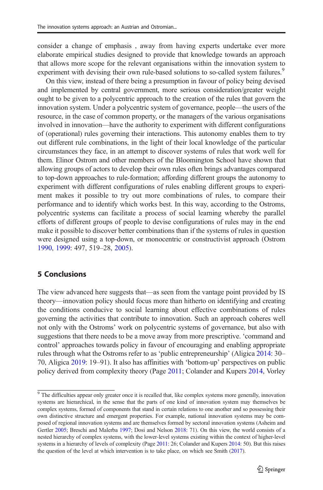<span id="page-12-0"></span>consider a change of emphasis , away from having experts undertake ever more elaborate empirical studies designed to provide that knowledge towards an approach that allows more scope for the relevant organisations within the innovation system to experiment with devising their own rule-based solutions to so-called system failures.<sup>9</sup>

On this view, instead of there being a presumption in favour of policy being devised and implemented by central government, more serious consideration/greater weight ought to be given to a polycentric approach to the creation of the rules that govern the innovation system. Under a polycentric system of governance, people—the users of the resource, in the case of common property, or the managers of the various organisations involved in innovation—have the authority to experiment with different configurations of (operational) rules governing their interactions. This autonomy enables them to try out different rule combinations, in the light of their local knowledge of the particular circumstances they face, in an attempt to discover systems of rules that work well for them. Elinor Ostrom and other members of the Bloomington School have shown that allowing groups of actors to develop their own rules often brings advantages compared to top-down approaches to rule-formation; affording different groups the autonomy to experiment with different configurations of rules enabling different groups to experiment makes it possible to try out more combinations of rules, to compare their performance and to identify which works best. In this way, according to the Ostroms, polycentric systems can facilitate a process of social learning whereby the parallel efforts of different groups of people to devise configurations of rules may in the end make it possible to discover better combinations than if the systems of rules in question were designed using a top-down, or monocentric or constructivist approach (Ostrom [1990,](#page-16-0) [1999:](#page-17-0) 497, 519–28, [2005](#page-17-0)).

#### 5 Conclusions

The view advanced here suggests that—as seen from the vantage point provided by IS theory—innovation policy should focus more than hitherto on identifying and creating the conditions conducive to social learning about effective combinations of rules governing the activities that contribute to innovation. Such an approach coheres well not only with the Ostroms' work on polycentric systems of governance, but also with suggestions that there needs to be a move away from more prescriptive. 'command and control' approaches towards policy in favour of encouraging and enabling appropriate rules through what the Ostroms refer to as 'public entrepreneurship' (Aligica [2014:](#page-14-0) 30– 70, Aligica [2019](#page-14-0): 19–91). It also has affinities with 'bottom-up' perspectives on public policy derived from complexity theory (Page [2011;](#page-17-0) Colander and Kupers [2014,](#page-14-0) Vorley

<sup>&</sup>lt;sup>9</sup> The difficulties appear only greater once it is recalled that, like complex systems more generally, innovation systems are hierarchical, in the sense that the parts of one kind of innovation system may themselves be complex systems, formed of components that stand in certain relations to one another and so possessing their own distinctive structure and emergent properties. For example, national innovation systems may be composed of regional innovation systems and are themselves formed by sectoral innovation systems (Asheim and Gertler [2005](#page-14-0); Breschi and Malerba [1997](#page-14-0); Dosi and Nelson [2018](#page-14-0): 71). On this view, the world consists of a nested hierarchy of complex systems, with the lower-level systems existing within the context of higher-level systems in a hierarchy of levels of complexity (Page [2011](#page-17-0): 26; Colander and Kupers [2014:](#page-14-0) 50). But this raises the question of the level at which intervention is to take place, on which see Smith ([2017](#page-17-0)).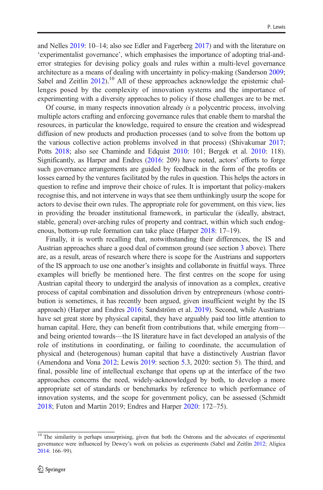and Nelles [2019:](#page-17-0) 10–14; also see Edler and Fagerberg [2017](#page-15-0)) and with the literature on 'experimentalist governance', which emphasises the importance of adopting trial-anderror strategies for devising policy goals and rules within a multi-level governance architecture as a means of dealing with uncertainty in policy-making (Sanderson [2009;](#page-17-0) Sabel and Zeitlin  $2012$ <sup>10</sup> All of these approaches acknowledge the epistemic challenges posed by the complexity of innovation systems and the importance of experimenting with a diversity approaches to policy if those challenges are to be met.

Of course, in many respects innovation already is a polycentric process, involving multiple actors crafting and enforcing governance rules that enable them to marshal the resources, in particular the knowledge, required to ensure the creation and widespread diffusion of new products and production processes (and to solve from the bottom up the various collective action problems involved in that process) (Shivakumar [2017;](#page-17-0) Potts [2018](#page-17-0); also see Chaminde and Edquist [2010](#page-14-0): 101; Bergek et al. [2010](#page-14-0): 118). Significantly, as Harper and Endres ([2016](#page-15-0): 209) have noted, actors' efforts to forge such governance arrangements are guided by feedback in the form of the profits or losses earned by the ventures facilitated by the rules in question. This helps the actors in question to refine and improve their choice of rules. It is important that policy-makers recognise this, and not intervene in ways that see them unthinkingly usurp the scope for actors to devise their own rules. The appropriate role for government, on this view, lies in providing the broader institutional framework, in particular the (ideally, abstract, stable, general) over-arching rules of property and contract, within which such endogenous, bottom-up rule formation can take place (Harper [2018](#page-15-0): 17–19).

Finally, it is worth recalling that, notwithstanding their differences, the IS and Austrian approaches share a good deal of common ground (see section [3](#page-5-0) above). There are, as a result, areas of research where there is scope for the Austrians and supporters of the IS approach to use one another's insights and collaborate in fruitful ways. Three examples will briefly be mentioned here. The first centres on the scope for using Austrian capital theory to undergird the analysis of innovation as a complex, creative process of capital combination and dissolution driven by entrepreneurs (whose contribution is sometimes, it has recently been argued, given insufficient weight by the IS approach) (Harper and Endres [2016](#page-15-0); Sandström et al. [2019](#page-17-0)). Second, while Austrians have set great store by physical capital, they have arguably paid too little attention to human capital. Here, they can benefit from contributions that, while emerging from and being oriented towards—the IS literature have in fact developed an analysis of the role of institutions in coordinating, or failing to coordinate, the accumulation of physical and (heterogenous) human capital that have a distinctively Austrian flavor (Amendona and Vona [2012](#page-14-0); Lewis [2019:](#page-16-0) section [5](#page-12-0).3, 2020: section 5). The third, and final, possible line of intellectual exchange that opens up at the interface of the two approaches concerns the need, widely-acknowledged by both, to develop a more appropriate set of standards or benchmarks by reference to which performance of innovation systems, and the scope for government policy, can be assessed (Schmidt [2018;](#page-17-0) Futon and Martin 2019; Endres and Harper [2020](#page-15-0): 172–75).

 $\frac{10}{10}$  The similarity is perhaps unsurprising, given that both the Ostroms and the advocates of experimental governance were influenced by Dewey's work on policies as experiments (Sabel and Zeitlin [2012](#page-17-0); Aligica [2014:](#page-14-0) 166–99).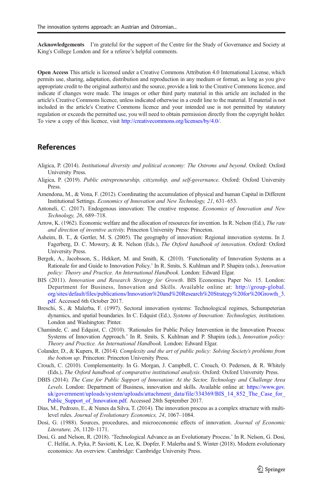<span id="page-14-0"></span>Acknowledgements I'm grateful for the support of the Centre for the Study of Governance and Society at King's College London and for a referee's helpful comments.

Open Access This article is licensed under a Creative Commons Attribution 4.0 International License, which permits use, sharing, adaptation, distribution and reproduction in any medium or format, as long as you give appropriate credit to the original author(s) and the source, provide a link to the Creative Commons licence, and indicate if changes were made. The images or other third party material in this article are included in the article's Creative Commons licence, unless indicated otherwise in a credit line to the material. If material is not included in the article's Creative Commons licence and your intended use is not permitted by statutory regulation or exceeds the permitted use, you will need to obtain permission directly from the copyright holder. To view a copy of this licence, visit [http://creativecommons.org/licenses/by/4.0/.](https://doi.org/http://creativecommons.org/licenses/by/4.0/)

#### References

- Aligica, P. (2014). Institutional diversity and political economy: The Ostroms and beyond. Oxford: Oxford University Press.
- Aligica, P. (2019). Public entrepreneurship, citizenship, and self-governance. Oxford: Oxford University Press.
- Amendona, M., & Vona, F. (2012). Coordinating the accumulation of physical and human Capital in Different Institutional Settings. Economics of Innovation and New Technology, 21, 631–653.
- Antoneli, C. (2017). Endogenous innovation: The creative response. Economics of Innovation and New Technology, 26, 689–718.
- Arrow, K. (1962). Economic welfare and the allocation of resources for invention. In R. Nelson (Ed.), The rate and direction of inventive activity. Princeton University Press: Princeton.
- Asheim, B. T., & Gertler, M. S. (2005). The geography of innovation: Regional innovation systems. In J. Fagerberg, D. C. Mowery, & R. Nelson (Eds.), The Oxford handbook of innovation. Oxford: Oxford University Press.
- Bergek, A., Jacobsson, S., Hekkert, M. and Smith, K. (2010). 'Functionality of Innovation Systems as a Rationale for and Guide to Innovation Policy.' In R. Smits, S. Kuhlman and P. Shapira (eds.), Innovation policy: Theory and Practice. An International Handbook. London: Edward Elgar.
- BIS (2011). Innovation and Research Strategy for Growth. BIS Economics Paper No. 15. London: Department for Business, Innovation and Skills. Available online at: [http://group-global.](https://doi.org/http://creativecommons.org/licenses/by/4.0/) [org/sites/default/files/publications/Innovation%20and%20Research%20Strategy%20for%20Growth\\_3.](https://doi.org/http://creativecommons.org/licenses/by/4.0/) [pdf](https://doi.org/http://creativecommons.org/licenses/by/4.0/). Accessed 6th October 2017.
- Breschi, S., & Malerba, F. (1997). Sectoral innovation systems: Technological regimes, Schumpeterian dynamics, and spatial boundaries. In C. Edquist (Ed.), Systems of Innovation: Technologies, institutions. London and Washington: Pinter.
- Chaminde, C. and Edquist, C. (2010). 'Rationales for Public Policy Intervention in the Innovation Process: Systems of Innovation Approach.' In R. Smits, S. Kuhlman and P. Shapira (eds.), Innovation policy: Theory and Practice. An International Handbook. London: Edward Elgar.
- Colander, D., & Kupers, R. (2014). Complexity and the art of public policy: Solving Society's problems from the bottom up. Princeton: Princeton University Press.
- Crouch, C. (2010). Complementarity. In G. Morgan, J. Campbell, C. Crouch, O. Pedersen, & R. Whitely (Eds.), The Oxford handbook of comparative institutional analysis. Oxford: Oxford University Press.
- DBIS (2014). The Case for Public Support of Innovation: At the Sector, Technology and Challenge Area Levels. London: Department of Business, innovation and skills. Available online at: [https://www.gov.](https://doi.org/http://creativecommons.org/licenses/by/4.0/) [uk/government/uploads/system/uploads/attachment\\_data/file/334369/BIS\\_14\\_852\\_The\\_Case\\_for\\_](https://doi.org/http://creativecommons.org/licenses/by/4.0/) [Public\\_Support\\_of\\_Innovation.pdf](https://doi.org/http://creativecommons.org/licenses/by/4.0/). Accessed 28th September 2017.
- Dias, M., Pedrozo, E., & Nunes da Silva, T. (2014). The innovation process as a complex structure with multilevel rules. Journal of Evolutionary Economics, 24, 1067–1084.
- Dosi, G. (1988). Sources, procedures, and microeconomic effects of innovation. Journal of Economic Literature, 26, 1120–1171.
- Dosi, G. and Nelson, R. (2018). 'Technological Advance as an Evolutionary Process.' In R. Nelson, G. Dosi, C. Helfat, A. Pyka, P. Saviotti, K. Lee, K. Dopfer, F. Malerba and S. Winter (2018). Modern evolutionary economics: An overview. Cambridge: Cambridge University Press.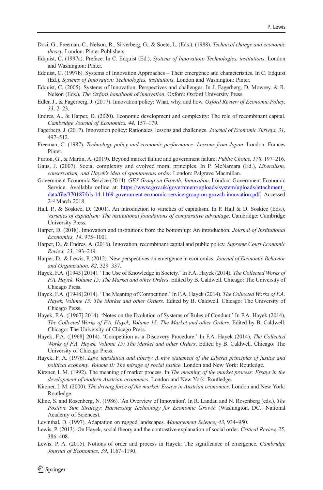- <span id="page-15-0"></span>Dosi, G., Freeman, C., Nelson, R., Silverberg, G., & Soete, L. (Eds.). (1988). Technical change and economic theory. London: Pinter Publishers.
- Edquist, C. (1997a). Preface. In C. Edquist (Ed.), Systems of Innovation: Technologies, institutions. London and Washington: Pinter.
- Edquist, C. (1997b). Systems of Innovation Approaches Their emergence and characteristics. In C. Edquist (Ed.), Systems of Innovation: Technologies, institutions. London and Washington: Pinter.
- Edquist, C. (2005). Systems of Innovation: Perspectives and challenges. In J. Fagerberg, D. Mowrey, & R. Nelson (Eds.), The Oxford handbook of innovation. Oxford: Oxford University Press.
- Edler, J., & Fagerberg, J. (2017). Innovation policy: What, why, and how. Oxford Review of Economic Policy, 33, 2–23.
- Endres, A., & Harper, D. (2020). Economic development and complexity: The role of recombinant capital. Cambridge Journal of Economics, 44, 157–179.
- Fagerberg, J. (2017). Innovation policy: Rationales, lessons and challenges. Journal of Economic Surveys, 31, 497–512.
- Freeman, C. (1987). Technology policy and economic performance: Lessons from Japan. London: Frances Pinter.
- Furton, G., & Martin, A. (2019). Beyond market failure and government failure. Public Choice, 178, 197–216.
- Gaus, J. (2007). Social complexity and evolved moral principles. In P. McNamara (Ed.), Liberalism, conservatism, and Hayek's idea of spontaneous order. London: Palgrave Macmillan.
- Government Economic Service (2014). GES Group on Growth: Innovation. London: Government Economic Service. Available online at: [https://www.gov.uk/government/uploads/system/uploads/attachment\\_](https://doi.org/http://creativecommons.org/licenses/by/4.0/) [data/file/370187/bis-14-1169-government-economic-service-group-on-growth-innovation.pdf.](https://doi.org/http://creativecommons.org/licenses/by/4.0/) Accessed 2nd March 2018.
- Hall, P., & Soskice, D. (2001). An introduction to varieties of capitalism. In P. Hall & D. Soskice (Eds.), Varieties of capitalism: The institutional foundations of comparative advantage. Cambridge: Cambridge University Press.
- Harper, D. (2018). Innovation and institutions from the bottom up: An introduction. Journal of Institutional Economics, 14, 975–1001.
- Harper, D., & Endres, A. (2016). Innovation, recombinant capital and public policy. Supreme Court Economic Review, 23, 193–219.
- Harper, D., & Lewis, P. (2012). New perspectives on emergence in economics. Journal of Economic Behavior and Organization, 82, 329–337.
- Hayek, F.A. ([1945] 2014). 'The Use of Knowledge in Society.' In F.A. Hayek (2014), The Collected Works of F.A. Hayek, Volume 15: The Market and other Orders. Edited by B. Caldwell. Chicago: The University of Chicago Press.
- Hayek, F.A. ([1948] 2014). 'The Meaning of Competition.' In F.A. Hayek (2014), The Collected Works of F.A. Hayek, Volume 15: The Market and other Orders. Edited by B. Caldwell. Chicago: The University of Chicago Press.
- Hayek, F.A. ([1967] 2014). 'Notes on the Evolution of Systems of Rules of Conduct.' In F.A. Hayek (2014), The Collected Works of F.A. Hayek, Volume 15: The Market and other Orders. Edited by B. Caldwell. Chicago: The University of Chicago Press.
- Hayek, F.A. ([1968] 2014). 'Competition as a Discovery Procedure.' In F.A. Hayek (2014), The Collected Works of F.A. Hayek, Volume 15: The Market and other Orders. Edited by B. Caldwell. Chicago: The University of Chicago Press.
- Hayek, F. A. (1976). Law, legislation and liberty: A new statement of the Liberal principles of justice and political economy. Volume II: The mirage of social justice. London and New York: Routledge.
- Kirzner, I. M. (1992). The meaning of market process. In *The meaning of the market process: Essays in the* development of modern Austrian economics. London and New York: Routledge.
- Kirzner, I. M. (2000). The driving force of the market: Essays in Austrian economics. London and New York: Routledge.
- Kline, S. and Rosenberg, N. (1986). 'An Overview of Innovation'. In R. Landau and N. Rosenberg (eds.), The Positive Sum Strategy: Harnessing Technology for Economic Growth (Washington, DC.: National Academy of Sciences).
- Levinthal, D. (1997). Adaptation on rugged landscapes. Management Science, 43, 934–950.
- Lewis, P. (2013). On Hayek, social theory and the contrastive explanation of social order. Critical Review, 25, 386–408.
- Lewis, P. A. (2015). Notions of order and process in Hayek: The significance of emergence. Cambridge Journal of Economics, 39, 1167–1190.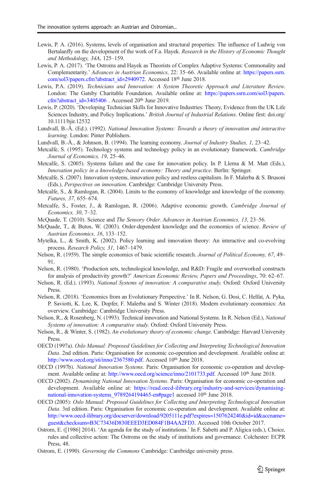- <span id="page-16-0"></span>Lewis, P. A. (2016). Systems, levels of organisation and structural properties: The influence of Ludwig von Bertalanffy on the development of the work of F.a. Hayek. Research in the History of Economic Thought and Methodology, 34A, 125–159.
- Lewis, P. A. (2017). 'The Ostroms and Hayek as Theorists of Complex Adaptive Systems: Commonality and Complementarity.' Advances in Austrian Economics, 22: 35–66. Available online at: [https://papers.ssrn.](https://doi.org/http://creativecommons.org/licenses/by/4.0/) [com/sol3/papers.cfm?abstract\\_id=2940972](https://doi.org/http://creativecommons.org/licenses/by/4.0/). Accessed 18th June 2018.
- Lewis, P.A. (2019). Technicians and Innovation: A System Theoretic Approach and Literature Review. London: The Gatsby Charitable Foundation. Available online at: [https://papers.ssrn.com/sol3/papers.](https://doi.org/http://creativecommons.org/licenses/by/4.0/) [cfm?abstract\\_id=3405406](https://doi.org/http://creativecommons.org/licenses/by/4.0/) . Accessed 20<sup>th</sup> June 2019.
- Lewis, P. (2020). 'Developing Technician Skills for Innovative Industries: Theory, Evidence from the UK Life Sciences Industry, and Policy Implications.' British Journal of Industrial Relations. Online first: doi.org/ 10.1111/bjir.12532
- Lundvall, B.-Å. (Ed.). (1992). National Innovation Systems: Towards a theory of innovation and interactive learning. London: Pinter Publishers.
- Lundvall, B.-Å., & Johnson, B. (1994). The learning economy. Journal of Industry Studies, 1, 23–42.
- Metcalfe, S. (1995). Technology systems and technology policy in an evolutionary framework. Cambridge Journal of Economics, 19, 25–46.
- Metcalfe, S. (2005). Systems failure and the case for innovation policy. In P. Llerna & M. Matt (Eds.), Innovation policy in a knowledge-based economy: Theory and practice. Berlin: Springer.
- Metcalfe, S. (2007). Innovation systems, innovation policy and restless capitalism. In F. Malerba & S. Brusoni (Eds.), Perspectives on innovation. Cambridge: Cambridge University Press.
- Metcalfe, S., & Ramlogan, R. (2004). Limits to the economy of knowledge and knowledge of the economy. Futures, 37, 655–674.
- Metcalfe, S., Foster, J., & Ramlogan, R. (2006). Adaptive economic growth. Cambridge Journal of Economics, 30, 7–32.
- McQuade, T. (2010). Science and The Sensory Order. Advances in Austrian Economics, 13, 23–56.
- McQuade, T., & Butos, W. (2003). Order-dependent knowledge and the economics of science. Review of Austrian Economics, 16, 133–152.
- Mytelka, L., & Smith, K. (2002). Policy learning and innovation theory: An interactive and co-evolving process. Research Policy, 31, 1467–1479.
- Nelson, R. (1959). The simple economics of basic scientific research. Journal of Political Economy, 67, 49– 91.
- Nelson, R. (1980). 'Production sets, technological knowledge, and R&D: Fragile and overworked constructs for analysis of productivity growth?' American Economic Review, Papers and Proceedings, 70: 62–67.
- Nelson, R. (Ed.). (1993). National Systems of innovation: A comparative study. Oxford: Oxford University Press.
- Nelson, R. (2018). 'Economics from an Evolutionary Perspective.' In R. Nelson, G. Dosi, C. Helfat, A. Pyka, P. Saviotti, K. Lee, K. Dopfer, F. Malerba and S. Winter (2018). Modern evolutionary economics: An overview. Cambridge: Cambridge University Press.
- Nelson, R., & Rosenberg, N. (1993). Technical innovation and National Systems. In R. Nelson (Ed.), National Systems of innovation: A comparative study. Oxford: Oxford University Press.
- Nelson, R., & Winter, S. (1982). An evolutionary theory of economic change. Cambridge: Harvard University Press.
- OECD (1997a). Oslo Manual: Proposed Guidelines for Collecting and Interpreting Technological Innovation Data. 2nd edition. Paris: Organisation for economic co-operation and development. Available online at: [http://www.oecd.org/sti/inno/2367580.pdf.](https://doi.org/http://creativecommons.org/licenses/by/4.0/) Accessed 10<sup>th</sup> June 2018.
- OECD (1997b). National Innovation Systems. Paris: Organisation for economic co-operation and development. Available online at: [http://www.oecd.org/science/inno/2101733.pdf.](https://doi.org/http://creativecommons.org/licenses/by/4.0/) Accessed 10<sup>th</sup> June 2018.
- OECD (2002). Dynamising National Innovation Systems. Paris: Organisation for economic co-operation and development. Available online at: [https://read.oecd-ilibrary.org/industry-and-services/dynamising](https://doi.org/http://creativecommons.org/licenses/by/4.0/)national-innovation-systems 9789264194465-en#page1 accessed 10<sup>th</sup> June 2018.
- OECD (2005): Oslo Manual: Proposed Guidelines for Collecting and Interpreting Technological Innovation Data. 3rd edition. Paris: Organisation for economic co-operation and development. Available online at: [http://www.oecd-ilibrary.org/docserver/download/9205111e.pdf?expires=1507624240&id=id&accname=](https://doi.org/http://creativecommons.org/licenses/by/4.0/) [guest&checksum=B3C73436D830EEED3ED084F1B4AA2FD3.](https://doi.org/http://creativecommons.org/licenses/by/4.0/) Accessed 10th October 2017.
- Ostrom, E. ([1986] 2014). 'An agenda for the study of institutions.' In F. Sabetti and P. Aligica (eds.), Choice, rules and collective action: The Ostroms on the study of institutions and governance. Colchester: ECPR Press, 48.
- Ostrom, E. (1990). Governing the Commons Cambridge: Cambridge university press.